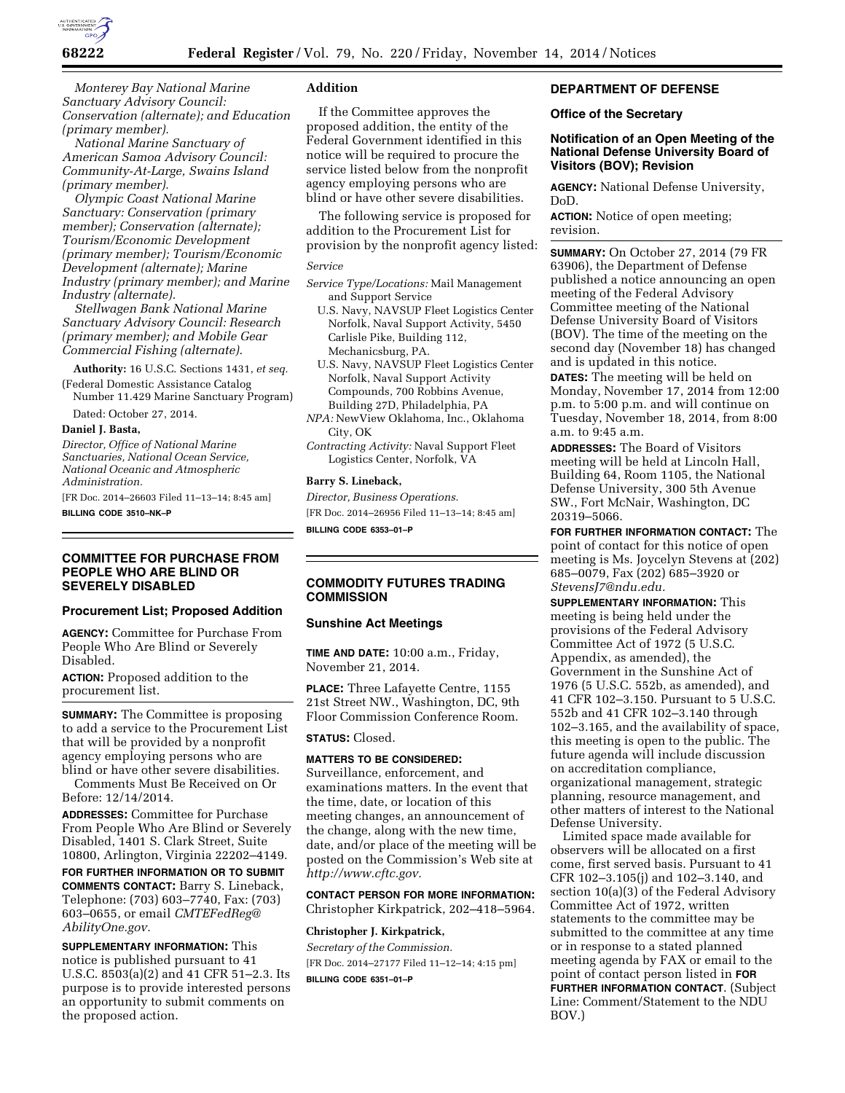

*Monterey Bay National Marine Sanctuary Advisory Council: Conservation (alternate); and Education (primary member).* 

*National Marine Sanctuary of American Samoa Advisory Council: Community-At-Large, Swains Island (primary member).* 

*Olympic Coast National Marine Sanctuary: Conservation (primary member); Conservation (alternate); Tourism/Economic Development (primary member); Tourism/Economic Development (alternate); Marine Industry (primary member); and Marine Industry (alternate).* 

*Stellwagen Bank National Marine Sanctuary Advisory Council: Research (primary member); and Mobile Gear Commercial Fishing (alternate).* 

**Authority:** 16 U.S.C. Sections 1431, *et seq.* 

(Federal Domestic Assistance Catalog Number 11.429 Marine Sanctuary Program)

Dated: October 27, 2014.

#### **Daniel J. Basta,**

*Director, Office of National Marine Sanctuaries, National Ocean Service, National Oceanic and Atmospheric Administration.* 

[FR Doc. 2014–26603 Filed 11–13–14; 8:45 am] **BILLING CODE 3510–NK–P** 

#### **COMMITTEE FOR PURCHASE FROM PEOPLE WHO ARE BLIND OR SEVERELY DISABLED**

#### **Procurement List; Proposed Addition**

**AGENCY:** Committee for Purchase From People Who Are Blind or Severely Disabled.

**ACTION:** Proposed addition to the procurement list.

**SUMMARY:** The Committee is proposing to add a service to the Procurement List that will be provided by a nonprofit agency employing persons who are blind or have other severe disabilities.

Comments Must Be Received on Or Before: 12/14/2014.

**ADDRESSES:** Committee for Purchase From People Who Are Blind or Severely Disabled, 1401 S. Clark Street, Suite 10800, Arlington, Virginia 22202–4149.

**FOR FURTHER INFORMATION OR TO SUBMIT COMMENTS CONTACT:** Barry S. Lineback, Telephone: (703) 603–7740, Fax: (703) 603–0655, or email *[CMTEFedReg@](mailto:CMTEFedReg@AbilityOne.gov) [AbilityOne.gov.](mailto:CMTEFedReg@AbilityOne.gov)* 

**SUPPLEMENTARY INFORMATION:** This notice is published pursuant to 41 U.S.C. 8503(a)(2) and 41 CFR 51–2.3. Its purpose is to provide interested persons an opportunity to submit comments on the proposed action.

# **Addition**

If the Committee approves the proposed addition, the entity of the Federal Government identified in this notice will be required to procure the service listed below from the nonprofit agency employing persons who are blind or have other severe disabilities.

The following service is proposed for addition to the Procurement List for provision by the nonprofit agency listed:

### *Service*

- *Service Type/Locations:* Mail Management and Support Service
	- U.S. Navy, NAVSUP Fleet Logistics Center Norfolk, Naval Support Activity, 5450 Carlisle Pike, Building 112, Mechanicsburg, PA.
	- U.S. Navy, NAVSUP Fleet Logistics Center Norfolk, Naval Support Activity Compounds, 700 Robbins Avenue, Building 27D, Philadelphia, PA
- *NPA:* NewView Oklahoma, Inc., Oklahoma City, OK
- *Contracting Activity:* Naval Support Fleet Logistics Center, Norfolk, VA

#### **Barry S. Lineback,**

*Director, Business Operations.*  [FR Doc. 2014–26956 Filed 11–13–14; 8:45 am] **BILLING CODE 6353–01–P** 

# **COMMODITY FUTURES TRADING COMMISSION**

#### **Sunshine Act Meetings**

**TIME AND DATE:** 10:00 a.m., Friday, November 21, 2014.

**PLACE:** Three Lafayette Centre, 1155 21st Street NW., Washington, DC, 9th Floor Commission Conference Room.

# **STATUS:** Closed.

# **MATTERS TO BE CONSIDERED:**

Surveillance, enforcement, and examinations matters. In the event that the time, date, or location of this meeting changes, an announcement of the change, along with the new time, date, and/or place of the meeting will be posted on the Commission's Web site at *[http://www.cftc.gov.](http://www.cftc.gov)* 

# **CONTACT PERSON FOR MORE INFORMATION:**  Christopher Kirkpatrick, 202–418–5964.

#### **Christopher J. Kirkpatrick,**

*Secretary of the Commission.*  [FR Doc. 2014–27177 Filed 11–12–14; 4:15 pm] **BILLING CODE 6351–01–P** 

# **DEPARTMENT OF DEFENSE**

## **Office of the Secretary**

## **Notification of an Open Meeting of the National Defense University Board of Visitors (BOV); Revision**

**AGENCY:** National Defense University, DoD.

**ACTION:** Notice of open meeting; revision.

**SUMMARY:** On October 27, 2014 (79 FR 63906), the Department of Defense published a notice announcing an open meeting of the Federal Advisory Committee meeting of the National Defense University Board of Visitors (BOV). The time of the meeting on the second day (November 18) has changed and is updated in this notice.

**DATES:** The meeting will be held on Monday, November 17, 2014 from 12:00 p.m. to 5:00 p.m. and will continue on Tuesday, November 18, 2014, from 8:00 a.m. to 9:45 a.m.

**ADDRESSES:** The Board of Visitors meeting will be held at Lincoln Hall, Building 64, Room 1105, the National Defense University, 300 5th Avenue SW., Fort McNair, Washington, DC 20319–5066.

**FOR FURTHER INFORMATION CONTACT:** The point of contact for this notice of open meeting is Ms. Joycelyn Stevens at (202) 685–0079, Fax (202) 685–3920 or *[StevensJ7@ndu.edu.](mailto:StevensJ7@ndu.edu)* 

**SUPPLEMENTARY INFORMATION:** This meeting is being held under the provisions of the Federal Advisory Committee Act of 1972 (5 U.S.C. Appendix, as amended), the Government in the Sunshine Act of 1976 (5 U.S.C. 552b, as amended), and 41 CFR 102–3.150. Pursuant to 5 U.S.C. 552b and 41 CFR 102–3.140 through 102–3.165, and the availability of space, this meeting is open to the public. The future agenda will include discussion on accreditation compliance, organizational management, strategic planning, resource management, and other matters of interest to the National Defense University.

Limited space made available for observers will be allocated on a first come, first served basis. Pursuant to 41 CFR 102–3.105(j) and 102–3.140, and section 10(a)(3) of the Federal Advisory Committee Act of 1972, written statements to the committee may be submitted to the committee at any time or in response to a stated planned meeting agenda by FAX or email to the point of contact person listed in **FOR FURTHER INFORMATION CONTACT**. (Subject Line: Comment/Statement to the NDU BOV.)